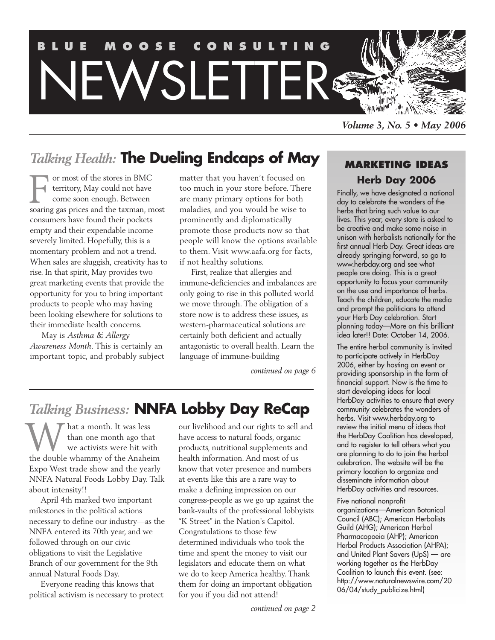

*Volume 3, No. 5 • May 2006*

**MARKETING IDEAS Herb Day 2006** Finally, we have designated a national day to celebrate the wonders of the herbs that bring such value to our lives. This year, every store is asked to be creative and make some noise in unison with herbalists nationally for the first annual Herb Day. Great ideas are already springing forward, so go to www.herbday.org and see what people are doing. This is a great opportunity to focus your community on the use and importance of herbs. Teach the children, educate the media and prompt the politicians to attend your Herb Day celebration. Start planning today—More on this brilliant idea later!! Date: October 14, 2006. The entire herbal community is invited to participate actively in HerbDay 2006, either by hosting an event or providing sponsorship in the form of financial support. Now is the time to start developing ideas for local HerbDay activities to ensure that every community celebrates the wonders of herbs. Visit www.herbday.org to review the initial menu of ideas that the HerbDay Coalition has developed, and to register to tell others what you are planning to do to join the herbal celebration. The website will be the

## *Talking Health:* **The Dueling Endcaps of May**

or most of the stores in BMC territory, May could not have come soon enough. Between or most of the stores in BMC<br>territory, May could not have<br>come soon enough. Between<br>soaring gas prices and the taxman, most consumers have found their pockets empty and their expendable income severely limited. Hopefully, this is a momentary problem and not a trend. When sales are sluggish, creativity has to rise. In that spirit, May provides two great marketing events that provide the opportunity for you to bring important products to people who may having been looking elsewhere for solutions to their immediate health concerns.

May is *Asthma & Allergy Awareness Month*. This is certainly an important topic, and probably subject matter that you haven't focused on too much in your store before. There are many primary options for both maladies, and you would be wise to prominently and diplomatically promote those products now so that people will know the options available to them. Visit www.aafa.org for facts, if not healthy solutions.

First, realize that allergies and immune-deficiencies and imbalances are only going to rise in this polluted world we move through. The obligation of a store now is to address these issues, as western-pharmaceutical solutions are certainly both deficient and actually antagonistic to overall health. Learn the language of immune-building

*continued on page 6*

# *Talking Business:* **NNFA Lobby Day ReCap**

hat a month. It was less than one month ago that we activists were hit with **W** hat a month. It was less<br>than one month ago that<br>we activists were hit with<br>the double whammy of the Anaheim Expo West trade show and the yearly NNFA Natural Foods Lobby Day. Talk about intensity!!

April 4th marked two important milestones in the political actions necessary to define our industry—as the NNFA entered its 70th year, and we followed through on our civic obligations to visit the Legislative Branch of our government for the 9th annual Natural Foods Day.

Everyone reading this knows that political activism is necessary to protect our livelihood and our rights to sell and have access to natural foods, organic products, nutritional supplements and health information. And most of us know that voter presence and numbers at events like this are a rare way to make a defining impression on our congress-people as we go up against the bank-vaults of the professional lobbyists "K Street" in the Nation's Capitol. Congratulations to those few determined individuals who took the time and spent the money to visit our legislators and educate them on what we do to keep America healthy. Thank them for doing an important obligation for you if you did not attend!

#### primary location to organize and disseminate information about

HerbDay activities and resources.

Five national nonprofit organizations—American Botanical Council (ABC); American Herbalists Guild (AHG); American Herbal Pharmacopoeia (AHP); American Herbal Products Association (AHPA); and United Plant Savers (UpS) — are working together as the HerbDay Coalition to launch this event. (see: http://www.naturalnewswire.com/20 06/04/study\_publicize.html)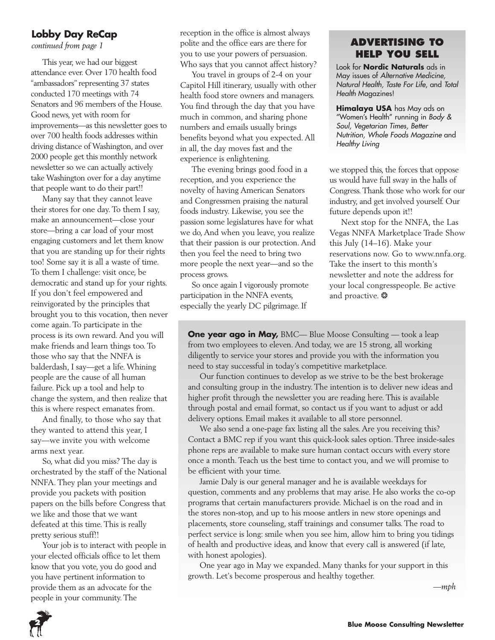### **Lobby Day ReCap**

*continued from page 1*

This year, we had our biggest attendance ever. Over 170 health food "ambassadors" representing 37 states conducted 170 meetings with 74 Senators and 96 members of the House. Good news, yet with room for improvements—as this newsletter goes to over 700 health foods addresses within driving distance of Washington, and over 2000 people get this monthly network newsletter so we can actually actively take Washington over for a day anytime that people want to do their part!!

Many say that they cannot leave their stores for one day. To them I say, make an announcement—close your store—bring a car load of your most engaging customers and let them know that you are standing up for their rights too! Some say it is all a waste of time. To them I challenge: visit once, be democratic and stand up for your rights. If you don't feel empowered and reinvigorated by the principles that brought you to this vocation, then never come again. To participate in the process is its own reward. And you will make friends and learn things too. To those who say that the NNFA is balderdash, I say—get a life. Whining people are the cause of all human failure. Pick up a tool and help to change the system, and then realize that this is where respect emanates from.

And finally, to those who say that they wanted to attend this year, I say—we invite you with welcome arms next year.

So, what did you miss? The day is orchestrated by the staff of the National NNFA. They plan your meetings and provide you packets with position papers on the bills before Congress that we like and those that we want defeated at this time. This is really pretty serious stuff!!

Your job is to interact with people in your elected officials office to let them know that you vote, you do good and you have pertinent information to provide them as an advocate for the people in your community. The

reception in the office is almost always polite and the office ears are there for you to use your powers of persuasion. Who says that you cannot affect history?

You travel in groups of 2-4 on your Capitol Hill itinerary, usually with other health food store owners and managers. You find through the day that you have much in common, and sharing phone numbers and emails usually brings benefits beyond what you expected. All in all, the day moves fast and the experience is enlightening.

The evening brings good food in a reception, and you experience the novelty of having American Senators and Congressmen praising the natural foods industry. Likewise, you see the passion some legislatures have for what we do, And when you leave, you realize that their passion is our protection. And then you feel the need to bring two more people the next year—and so the process grows.

So once again I vigorously promote participation in the NNFA events, especially the yearly DC pilgrimage. If

### **ADVERTISING TO HELP YOU SELL**

Look for **Nordic Naturals** ads in May issues of *Alternative Medicine, Natural Health, Taste For Life*, and *Total Health* Magazines!

**Himalaya USA** has May ads on "Women's Health" running in *Body & Soul, Vegetarian Times, Better Nutrition, Whole Foods Magazine* and *Healthy Living*

we stopped this, the forces that oppose us would have full sway in the halls of Congress. Thank those who work for our industry, and get involved yourself. Our future depends upon it!!

Next stop for the NNFA, the Las Vegas NNFA Marketplace Trade Show this July (14–16). Make your reservations now. Go to www.nnfa.org. Take the insert to this month's newsletter and note the address for your local congresspeople. Be active and proactive. ❂

**One year ago in May,** BMC— Blue Moose Consulting — took a leap from two employees to eleven. And today, we are 15 strong, all working diligently to service your stores and provide you with the information you need to stay successful in today's competitive marketplace.

Our function continues to develop as we strive to be the best brokerage and consulting group in the industry. The intention is to deliver new ideas and higher profit through the newsletter you are reading here. This is available through postal and email format, so contact us if you want to adjust or add delivery options. Email makes it available to all store personnel.

We also send a one-page fax listing all the sales. Are you receiving this? Contact a BMC rep if you want this quick-look sales option. Three inside-sales phone reps are available to make sure human contact occurs with every store once a month. Teach us the best time to contact you, and we will promise to be efficient with your time.

Jamie Daly is our general manager and he is available weekdays for question, comments and any problems that may arise. He also works the co-op programs that certain manufacturers provide. Michael is on the road and in the stores non-stop, and up to his moose antlers in new store openings and placements, store counseling, staff trainings and consumer talks. The road to perfect service is long: smile when you see him, allow him to bring you tidings of health and productive ideas, and know that every call is answered (if late, with honest apologies).

One year ago in May we expanded. Many thanks for your support in this growth. Let's become prosperous and healthy together.

*—mph*

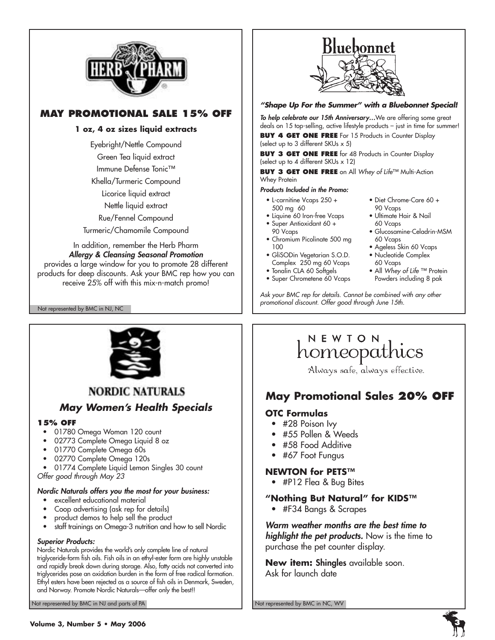

### **MAY PROMOTIONAL SALE 15% OFF**

### **1 oz, 4 oz sizes liquid extracts**

Eyebright/Nettle Compound

Green Tea liquid extract Immune Defense Tonic™

Khella/Turmeric Compound

Licorice liquid extract

Nettle liquid extract

Rue/Fennel Compound

Turmeric/Chamomile Compound

In addition, remember the Herb Pharm *Allergy & Cleansing Seasonal Promotion* provides a large window for you to promote 28 different products for deep discounts. Ask your BMC rep how you can receive 25% off with this mix-n-match promo!

Not represented by BMC in NJ, NC



### *"Shape Up For the Summer" with a Bluebonnet Special!*

*To help celebrate our 15th Anniversary…*We are offering some great deals on 15 top-selling, active lifestyle products – just in time for summer!

**BUY 4 GET ONE FREE** For 15 Products in Counter Display (select up to 3 different SKUs x 5)

**BUY 3 GET ONE FREE** for 48 Products in Counter Display (select up to 4 different SKUs x 12)

**BUY 3 GET ONE FREE** on All *Whey of Life*™ Multi-Action Whey Protein

#### *Products Included in the Promo:*

- L-carnitine Vcaps 250 + 500 mg 60
- Liquine 60 Iron-free Vcaps
- Super Antioxidant 60 + 90 Vcaps
- Chromium Picolinate 500 mg 100
- GliSODin Vegetarian S.O.D. Complex 250 mg 60 Vcaps
- Tonalin CLA 60 Softgels
- Super Chrometene 60 Vcaps

• Diet Chrome-Care 60 + 90 Vcaps

- Ultimate Hair & Nail 60 Vcaps
- Glucosamine-Celadrin-MSM 60 Vcaps
- Ageless Skin 60 Vcaps
- Nucleotide Complex 60 Vcaps
- All *Whey of Life* ™ Protein Powders including 8 pak

*Ask your BMC rep for details. Cannot be combined with any other promotional discount. Offer good through June 15th.*



### **NORDIC NATURALS**

### *May Women's Health Specials*

### **15% OFF**

- 01780 Omega Woman 120 count
- 02773 Complete Omega Liquid 8 oz
- 01770 Complete Omega 60s
- 02770 Complete Omega 120s

• 01774 Complete Liquid Lemon Singles 30 count *Offer good through May 23*

### *Nordic Naturals offers you the most for your business:*

- excellent educational material
- Coop advertising (ask rep for details)
- product demos to help sell the product
- staff trainings on Omega-3 nutrition and how to sell Nordic

#### *Superior Products:*

Nordic Naturals provides the world's only complete line of natural triglyceride-form fish oils. Fish oils in an ethyl-ester form are highly unstable and rapidly break down during storage. Also, fatty acids not converted into triglycerides pose an oxidation burden in the form of free radical formation. Ethyl esters have been rejected as a source of fish oils in Denmark, Sweden, and Norway. Promote Nordic Naturals—offer only the best!!

Not represented by BMC in NJ and parts of PA Not represented by BMC in NC, WV Not represented by BMC in NC, WV

# NEWION<br>homeopathics

Always safe, always effective.

### **May Promotional Sales 20% OFF**

### **OTC Formulas**

- #28 Poison Ivy
- #55 Pollen & Weeds
- #58 Food Additive
- #67 Foot Fungus

### **NEWTON for PETS™**

• #P12 Flea & Bug Bites

### **"Nothing But Natural" for KIDS™**

• #F34 Bangs & Scrapes

*Warm weather months are the best time to highlight the pet products.* Now is the time to purchase the pet counter display.

**New item: Shingles** available soon. Ask for launch date

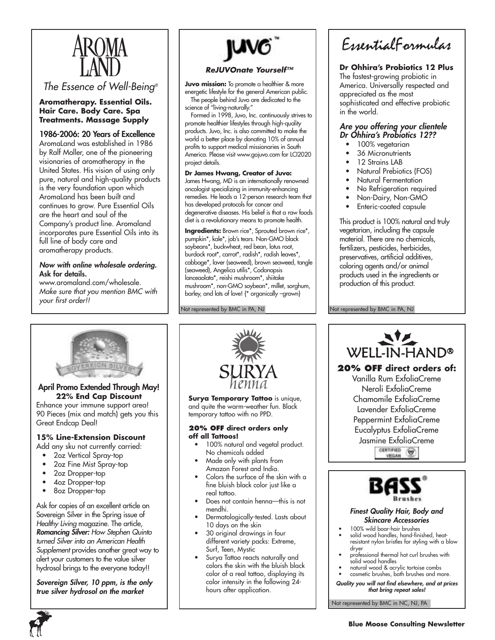

*The Essence of Well-Being®*

#### **Aromatherapy. Essential Oils. Hair Care. Body Care. Spa Treatments. Massage Supply**

### **1986-2006: 20 Years of Excellence**

AromaLand was established in 1986 by Ralf Moller, one of the pioneering visionaries of aromatherapy in the United States. His vision of using only pure, natural and high-quality products is the very foundation upon which AromaLand has been built and continues to grow. Pure Essential Oils are the heart and soul of the Company's product line. Aromaland incorporates pure Essential Oils into its full line of body care and aromatherapy products.

#### *Now with online wholesale ordering.* **Ask for details.**

www.aromaland.com/wholesale. *Make sure that you mention BMC with your first order!!*



#### *ReJUVOnate Yourself™*

**Juvo mission:** To promote a healthier & more energetic lifestyle for the general American public.

The people behind Juvo are dedicated to the science of "living-naturally."

Formed in 1998, Juvo, Inc. continuously strives to promote healthier lifestyles through high-quality products. Juvo, Inc. is also committed to make the world a better place by donating 10% of annual profits to support medical missionaries in South America. Please visit www.gojuvo.com for LCI2020 project details.

#### **Dr James Hwang, Creator of Juvo:**

James Hwang, MD is an internationally renowned oncologist specializing in immunity-enhancing remedies. He leads a 12-person research team that has developed protocols for cancer and degenerative diseases. His belief is that a raw foods diet is a revolutionary means to promote health.

**Ingredients:** Brown rice\*, Sprouted brown rice\*, pumpkin\*, kale\*, job's tears. Non-GMO black soybeans\*, buckwheat, red bean, lotus root, burdock root\*, carrot\*, radish\*, radish leaves\*, cabbage\*, laver (seaweed), brown seaweed, tangle (seaweed), Angelica utilis\*, Codonopsis lanceaolata\*, reishi mushroom\*, shiitake mushroom\*, non-GMO soybean\*, millet, sorghum, barley, and lots of love! {\* organically -grown}

Not represented by BMC in PA, NJ

EssentialFormulas

### **Dr Ohhira's Probiotics 12 Plus**

The fastest-growing probiotic in America. Universally respected and appreciated as the most sophisticated and effective probiotic in the world.

#### *Are you offering your clientele Dr Ohhira's Probiotics 12??*

- 100% vegetarian
- 36 Micronutrients
- 12 Strains LAB
- Natural Prebiotics (FOS)
- Natural Fermentation
- No Refrigeration required
- Non-Dairy, Non-GMO
- Enteric-coated capsule

This product is 100% natural and truly vegetarian, including the capsule material. There are no chemicals, fertilizers, pesticides, herbicides, preservatives, artificial additives, coloring agents and/or animal products used in the ingredients or production of this product.

Not represented by BMC in PA, NJ



#### **April Promo Extended Through May! 22% End Cap Discount**

Enhance your immune support area! 90 Pieces (mix and match) gets you this Great Endcap Deal!

### **15% Line-Extension Discount**

Add any sku not currently carried:

- 2oz Vertical Spray-top
- 2oz Fine Mist Spray-top
- 2oz Dropper-top
- 4oz Dropper-top
- 8oz Dropper-top

Ask for copies of an excellent article on Sovereign Silver in the Spring issue of *Healthy Living* magazine. The article, *Romancing Silver: How Stephen Quinto turned Silver into an American Health Supplement* provides another great way to alert your customers to the value silver hydrosol brings to the everyone today!!

*Sovereign Silver, 10 ppm, is the only true silver hydrosol on the market*



**Surya Temporary Tattoo** is unique, and quite the warm-weather fun. Black temporary tattoo with no PPD.

#### **20% OFF direct orders only off all Tattoos!**

- 100% natural and vegetal product. No chemicals added
- Made only with plants from Amazon Forest and India.
- Colors the surface of the skin with a fine bluish black color just like a real tattoo.
- Does not contain henna—this is not mendhi.
- Dermatologically-tested. Lasts about 10 days on the skin
- 30 original drawings in four different variety packs: Extreme, Surf, Teen, Mystic
- Surya Tattoo reacts naturally and colors the skin with the bluish black color of a real tattoo, displaying its color intensity in the following 24 hours after application.



#### *Finest Quality Hair, Body and Skincare Accessories*

- 100% wild boar-hair brushes
- solid wood handles, hand-finished, heatresistant nylon bristles for styling with a blow dryer
- professional thermal hot curl brushes with solid wood handles
- natural wood & acrylic tortoise combs • cosmetic brushes, bath brushes and more.
- *Quality you will not find elsewhere, and at prices that bring repeat sales!*

Not represented by BMC in NC, NJ, PA

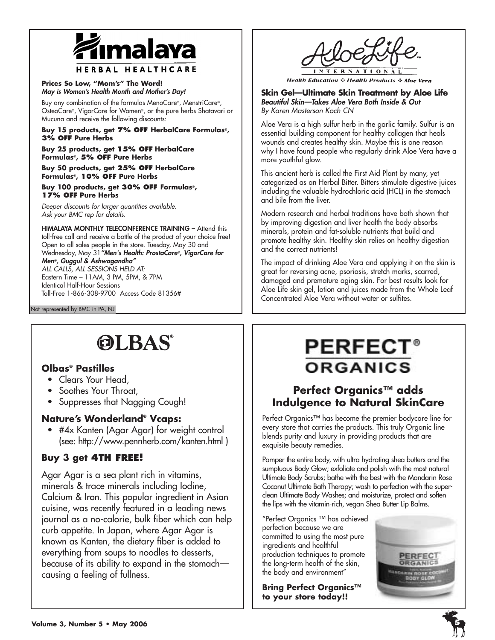

**Prices So Low, "Mom's" The Word!**  *May is Women's Health Month and Mother's Day!*

Buy any combination of the formulas MenoCare®, MenstriCare®, OsteoCare®, VigorCare for Women®, or the pure herbs Shatavari or Mucuna and receive the following discounts:

**Buy 15 products, get 7% OFF HerbalCare Formulas®, 3% OFF Pure Herbs**

**Buy 25 products, get 15% OFF HerbalCare Formulas®, 5% OFF Pure Herbs**

**Buy 50 products, get 25% OFF HerbalCare Formulas®, 10% OFF Pure Herbs**

**Buy 100 products, get 30% OFF Formulas®, 17% OFF Pure Herbs**

*Deeper discounts for larger quantities available. Ask your BMC rep for details.* 

**HIMALAYA MONTHLY TELECONFERENCE TRAINING –** Attend this toll-free call and receive a bottle of the product of your choice free! Open to all sales people in the store. Tuesday, May 30 and Wednesday, May 31*"Men's Health: ProstaCare®, VigorCare for Men®, Guggul & Ashwagandha" ALL CALLS, ALL SESSIONS HELD AT:* Eastern Time – 11AM, 3 PM, 5PM, & 7PM Identical Half-Hour Sessions Toll-Free 1-866-308-9700 Access Code 81356#

Not represented by BMC in PA, NJ

# **OLBAS®**

### **Olbas® Pastilles**

- Clears Your Head,
- Soothes Your Throat,
- Suppresses that Nagging Cough!

### **Nature's Wonderland® Vcaps:**

• #4x Kanten (Agar Agar) for weight control (see: http://www.pennherb.com/kanten.html )

### **Buy 3 get 4TH FREE!**

Agar Agar is a sea plant rich in vitamins, minerals & trace minerals including Iodine, Calcium & Iron. This popular ingredient in Asian cuisine, was recently featured in a leading news journal as a no-calorie, bulk fiber which can help curb appetite. In Japan, where Agar Agar is known as Kanten, the dietary fiber is added to everything from soups to noodles to desserts, because of its ability to expand in the stomach causing a feeling of fullness.



**Health Education**  $\div$  **Health Products**  $\div$  **Aloe Vera** 

**Skin Gel—Ultimate Skin Treatment by Aloe Life**  *Beautiful Skin—Takes Aloe Vera Both Inside & Out By Karen Masterson Koch CN*

Aloe Vera is a high sulfur herb in the garlic family. Sulfur is an essential building component for healthy collagen that heals wounds and creates healthy skin. Maybe this is one reason why I have found people who regularly drink Aloe Vera have a more youthful glow.

This ancient herb is called the First Aid Plant by many, yet categorized as an Herbal Bitter. Bitters stimulate digestive juices including the valuable hydrochloric acid (HCL) in the stomach and bile from the liver.

Modern research and herbal traditions have both shown that by improving digestion and liver health the body absorbs minerals, protein and fat-soluble nutrients that build and promote healthy skin. Healthy skin relies on healthy digestion and the correct nutrients!

The impact of drinking Aloe Vera and applying it on the skin is great for reversing acne, psoriasis, stretch marks, scarred, damaged and premature aging skin. For best results look for Aloe Life skin gel, lotion and juices made from the Whole Leaf Concentrated Aloe Vera without water or sulfites.

# **PERFECT® ORGANICS**

### **Perfect Organics™ adds Indulgence to Natural SkinCare**

Perfect Organics™ has become the premier bodycare line for every store that carries the products. This truly Organic line blends purity and luxury in providing products that are exquisite beauty remedies.

Pamper the entire body, with ultra hydrating shea butters and the sumptuous Body Glow; exfoliate and polish with the most natural Ultimate Body Scrubs; bathe with the best with the Mandarin Rose Coconut Ultimate Bath Therapy; wash to perfection with the superclean Ultimate Body Washes; and moisturize, protect and soften the lips with the vitamin-rich, vegan Shea Butter Lip Balms.

"Perfect Organics ™ has achieved perfection because we are committed to using the most pure ingredients and healthful production techniques to promote the long-term health of the skin, the body and environment"

**Bring Perfect Organics™ to your store today!!**

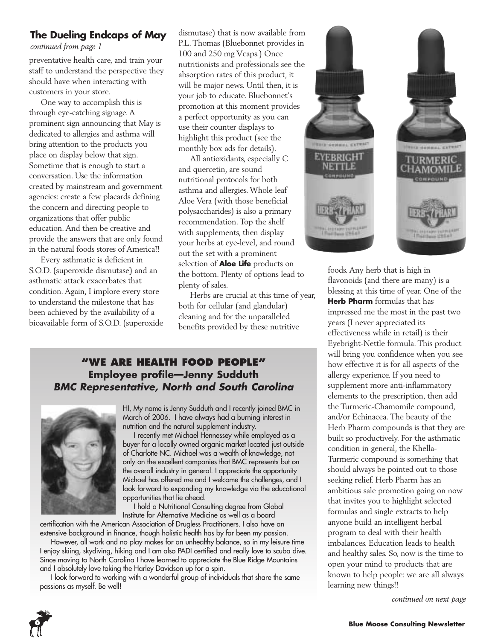### **The Dueling Endcaps of May**

*continued from page 1*

preventative health care, and train your staff to understand the perspective they should have when interacting with customers in your store.

One way to accomplish this is through eye-catching signage. A prominent sign announcing that May is dedicated to allergies and asthma will bring attention to the products you place on display below that sign. Sometime that is enough to start a conversation. Use the information created by mainstream and government agencies: create a few placards defining the concern and directing people to organizations that offer public education. And then be creative and provide the answers that are only found in the natural foods stores of America!!

Every asthmatic is deficient in S.O.D. (superoxide dismutase) and an asthmatic attack exacerbates that condition. Again, I implore every store to understand the milestone that has been achieved by the availability of a bioavailable form of S.O.D. (superoxide dismutase) that is now available from P.L. Thomas (Bluebonnet provides in 100 and 250 mg Vcaps.) Once nutritionists and professionals see the absorption rates of this product, it will be major news. Until then, it is your job to educate. Bluebonnet's promotion at this moment provides a perfect opportunity as you can use their counter displays to highlight this product (see the monthly box ads for details).

All antioxidants, especially C and quercetin, are sound nutritional protocols for both asthma and allergies. Whole leaf Aloe Vera (with those beneficial polysaccharides) is also a primary recommendation. Top the shelf with supplements, then display your herbs at eye-level, and round out the set with a prominent selection of **Aloe Life** products on the bottom. Plenty of options lead to plenty of sales.

Herbs are crucial at this time of year, both for cellular (and glandular) cleaning and for the unparalleled benefits provided by these nutritive

### **"WE ARE HEALTH FOOD PEOPLE" Employee profile—Jenny Sudduth** *BMC Representative, North and South Carolina*



HI, My name is Jenny Sudduth and I recently joined BMC in March of 2006. I have always had a burning interest in nutrition and the natural supplement industry.

I recently met Michael Hennessey while employed as a buyer for a locally owned organic market located just outside of Charlotte NC. Michael was a wealth of knowledge, not only on the excellent companies that BMC represents but on the overall industry in general. I appreciate the opportunity Michael has offered me and I welcome the challenges, and I look forward to expanding my knowledge via the educational opportunities that lie ahead.

I hold a Nutritional Consulting degree from Global Institute for Alternative Medicine as well as a board

certification with the American Association of Drugless Practitioners. I also have an extensive background in finance, though holistic health has by far been my passion.

However, all work and no play makes for an unhealthy balance, so in my leisure time I enjoy skiing, skydiving, hiking and I am also PADI certified and really love to scuba dive. Since moving to North Carolina I have learned to appreciate the Blue Ridge Mountains and I absolutely love taking the Harley Davidson up for a spin.

I look forward to working with a wonderful group of individuals that share the same passions as myself. Be well!



foods. Any herb that is high in flavonoids (and there are many) is a blessing at this time of year. One of the **Herb Pharm** formulas that has impressed me the most in the past two years (I never appreciated its effectiveness while in retail) is their Eyebright-Nettle formula. This product will bring you confidence when you see how effective it is for all aspects of the allergy experience. If you need to supplement more anti-inflammatory elements to the prescription, then add the Turmeric-Chamomile compound, and/or Echinacea. The beauty of the Herb Pharm compounds is that they are built so productively. For the asthmatic condition in general, the Khella-Turmeric compound is something that should always be pointed out to those seeking relief. Herb Pharm has an ambitious sale promotion going on now that invites you to highlight selected formulas and single extracts to help anyone build an intelligent herbal program to deal with their health imbalances. Education leads to health and healthy sales. So, now is the time to open your mind to products that are known to help people: we are all always learning new things!!

*continued on next page*

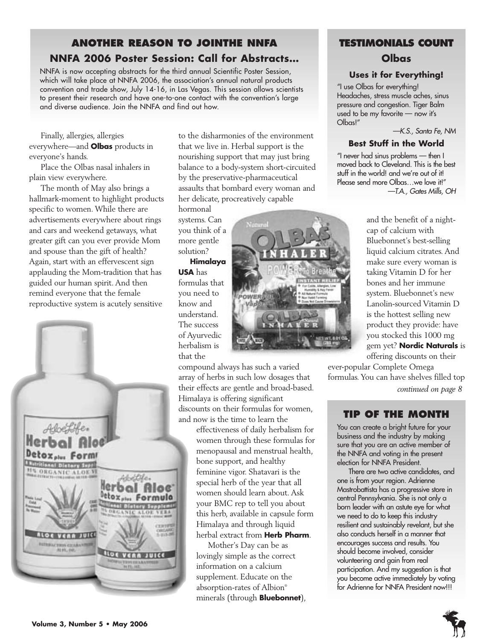### **ANOTHER REASON TO JOINTHE NNFA NNFA 2006 Poster Session: Call for Abstracts…**

NNFA is now accepting abstracts for the third annual Scientific Poster Session, which will take place at NNFA 2006, the association's annual natural products convention and trade show, July 14-16, in Las Vegas. This session allows scientists to present their research and have one-to-one contact with the convention's large and diverse audience. Join the NNFA and find out how.

Finally, allergies, allergies everywhere—and **Olbas** products in everyone's hands.

Place the Olbas nasal inhalers in plain view everywhere.

The month of May also brings a hallmark-moment to highlight products specific to women. While there are advertisements everywhere about rings and cars and weekend getaways, what greater gift can you ever provide Mom and spouse than the gift of health? Again, start with an effervescent sign applauding the Mom-tradition that has guided our human spirit. And then remind everyone that the female reproductive system is acutely sensitive



to the disharmonies of the environment that we live in. Herbal support is the nourishing support that may just bring balance to a body-system short-circuited by the preservative-pharmaceutical assaults that bombard every woman and her delicate, procreatively capable

hormonal systems. Can you think of a more gentle solution?

**Himalaya USA** has formulas that you need to know and understand. The success of Ayurvedic herbalism is that the

compound always has such a varied array of herbs in such low dosages that their effects are gentle and broad-based. Himalaya is offering significant discounts on their formulas for women, and now is the time to learn the

> effectiveness of daily herbalism for women through these formulas for menopausal and menstrual health, bone support, and healthy feminine vigor. Shatavari is the special herb of the year that all women should learn about. Ask your BMC rep to tell you about this herb, available in capsule form Himalaya and through liquid herbal extract from **Herb Pharm**.

Mother's Day can be as lovingly simple as the correct information on a calcium supplement. Educate on the absorption-rates of Albion® minerals (through **Bluebonnet**),

### **TESTIMONIALS COUNT Olbas**

### **Uses it for Everything!**

"I use Olbas for everything! Headaches, stress muscle aches, sinus pressure and congestion. Tiger Balm used to be my favorite — now it's Olbas!"

*—K.S., Santa Fe, NM*

### **Best Stuff in the World**

"I never had sinus problems — then I moved back to Cleveland. This is the best stuff in the world! and we're out of it! Please send more Olbas…we love it!" *—T.A., Gates Mills, OH*



and the benefit of a nightcap of calcium with Bluebonnet's best-selling liquid calcium citrates. And make sure every woman is taking Vitamin D for her bones and her immune system. Bluebonnet's new Lanolin-sourced Vitamin D is the hottest selling new product they provide: have you stocked this 1000 mg gem yet? **Nordic Naturals** is offering discounts on their

ever-popular Complete Omega formulas. You can have shelves filled top

*continued on page 8*

### **TIP OF THE MONTH**

You can create a bright future for your business and the industry by making sure that you are an active member of the NNFA and voting in the present election for NNFA President.

There are two active candidates, and one is from your region. Adrienne Mastrobattista has a progressive store in central Pennsylvania. She is not only a born leader with an astute eye for what we need to do to keep this industry resilient and sustainably revelant, but she also conducts herself in a manner that encourages success and results. You should become involved, consider volunteering and gain from real participation. And my suggestion is that you become active immediately by voting for Adrienne for NNFA President now!!!